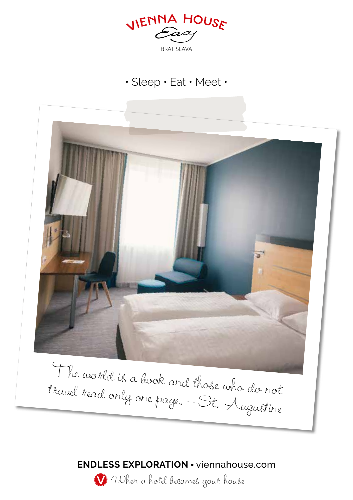

# • Sleep • Eat • Meet •



**ENDLESS EXPLORATION** • viennahouse.com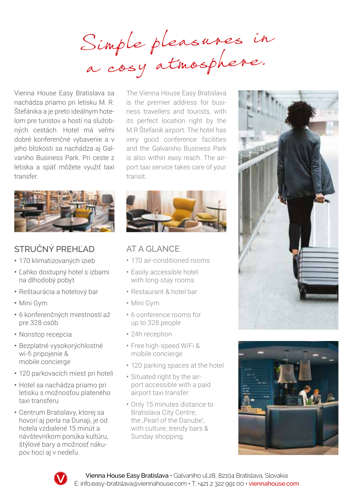Simple pleasures in a cosy atmosphere.

Vienna House Easy Bratislava sa nachádza priamo pri letisku M. R. Štefánika a je preto ideálnym hotelom pre turistov a hostí na služobných cestách. Hotel má veľmi dobré konferenčné vybavenie a v jeho blízkosti sa nachádza aj Galvaniho Business Park. Pri ceste z letiska a späť môžete využiť taxi transfer.



# STRUČNÝ PREHĽAD

- 170 klimatizovaných izieb
- Ľahko dostupný hotel s izbami na dlhodobý pobyt
- Reštaurácia a hotelový bar
- Mini Gym
- 6 konferenčných miestností až pre 328 osôb
- Nonstop recepcia
- Bezplatné vysokorýchlostné wi-fi pripojenie & mobile concierge
- 120 parkovacích miest pri hoteli
- Hotel sa nachádza priamo pri letisku s možnosťou plateného taxi transferu
- Centrum Bratislavy, ktorej sa hovorí aj perla na Dunaji, je od hotela vzdialené 15 minút a návštevníkom ponúka kultúru, štýlové bary a možnosť nákupov hoci aj v nedeľu.

The Vienna House Easy Bratislava is the premier address for business travellers and tourists, with its perfect location right by the M.R Štefanik airport. The hotel has very good conference facilities and the Galvaniho Business Park is also within easy reach. The airport taxi service takes care of your transit.



## AT A GLANCE

- 170 air-conditioned rooms
- Easily accessible hotel with long-stay rooms
- Restaurant & hotel bar
- Mini Gym
- 6 conference rooms for up to 328 people
- 24h reception
- Free high-speed WiFi & mobile concierge
- 120 parking spaces at the hotel
- Situated right by the airport accessible with a paid airport taxi transfer
- Only 15 minutes distance to Bratislava City Centre, the Pearl of the Danube' with culture, trendy bars & Sunday shopping.





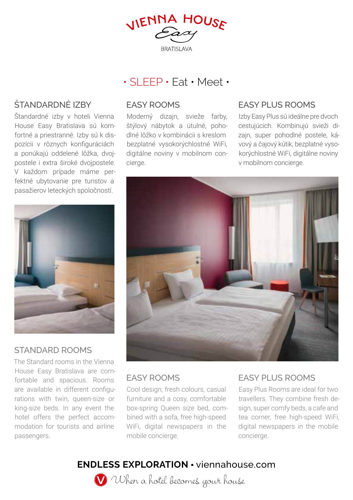VIENNA HOUSE **RRATISI AVA** 

# • SLEEP • Eat • Meet •

# ŠTANDARDNÉ IZBY

Štandardné izby v hoteli Vienna House Easy Bratislava sú komfortné a priestranné. Izby sú k dispozícii v rôznych konfiguráciách a ponúkajú oddelené lôžka, dvojpostele i extra široké dvojpostele. V každom prípade máme perfektné ubytovanie pre turistov a pasažierov leteckých spoločností.

#### EASY ROOMS

Moderný dizajn, svieže farby, štýlový nábytok a útulné, pohodlné lôžko v kombinácii s kreslom bezplatné vysokorýchlostné WiFi, digitálne noviny v mobilnom concierge.

### EASY PLUS ROOMS

Izby Easy Plus sú ideálne pre dvoch cestujúcich. Kombinujú svieži dizajn, super pohodlné postele, kávový a čajový kútik, bezplatné vysokorýchlostné WiFi, digitálne noviny v mobilnom concierge.



#### STANDARD ROOMS

The Standard rooms in the Vienna House Easy Bratislava are comfortable and spacious. Rooms are available in different configurations with twin, queen-size or king-size beds. In any event the hotel offers the perfect accommodation for tourists and airline passengers.



#### EASY ROOMS

Cool design, fresh colours, casual furniture and a cosy, comfortable box-spring Queen size bed, combined with a sofa, free high-speed WiFi, digital newspapers in the mobile concierge.

## EASY PLUS ROOMS

Easy Plus Rooms are ideal for two travellers. They combine fresh design, super comfy beds, a cafe and tea corner, free high-speed WiFi, digital newspapers in the mobile concierge.

# **ENDLESS EXPLORATION** • viennahouse.com

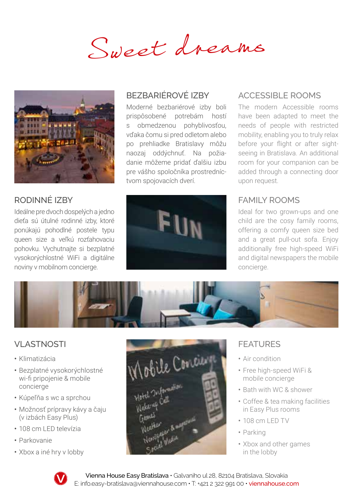Sweet dreams



# RODINNÉ IZBY

Ideálne pre dvoch dospelých a jedno dieťa sú útulné rodinné izby, ktoré ponúkajú pohodlné postele typu queen size a veľkú rozťahovaciu pohovku. Vychutnajte si bezplatné vysokorýchlostné WiFi a digitálne noviny v mobilnom concierge.

# BEZBARIÉROVÉ IZBY

Moderné bezbariérové izby boli prispôsobené potrebám hostí s obmedzenou pohyblivosťou, vďaka čomu si pred odletom alebo po prehliadke Bratislavy môžu naozaj oddýchnuť. Na požiadanie môžeme pridať ďalšiu izbu pre vášho spoločníka prostredníctvom spojovacích dverí.

## ACCESSIBLE ROOMS

The modern Accessible rooms have been adapted to meet the needs of people with restricted mobility, enabling you to truly relax before your flight or after sightseeing in Bratislava. An additional room for your companion can be added through a connecting door upon request.

### FAMILY ROOMS

Ideal for two grown-ups and one child are the cosy family rooms, offering a comfy queen size bed and a great pull-out sofa. Enjoy additionally free high-speed WiFi and digital newspapers the mobile concierge.



# **VLASTNOSTI**

- Klimatizácia
- Bezplatné vysokorýchlostné wi-fi pripojenie & mobile concierge
- Kúpeľňa s wc a sprchou
- Možnosť prípravy kávy a čaju (v izbách Easy Plus)
- 108 cm LED televÍzia
- Parkovanie
- Xbox a iné hry v lobby



# FEATURES

- Air condition
- Free high-speed WiFi & mobile concierge
- Bath with WC & shower
- Coffee & tea making facilities in Easy Plus rooms
- 108 cm LED TV
- Parking
- Xbox and other games in the lobby



Vienna House Easy Bratislava • Galvaniho ul 28, 82104 Bratislava, Slovakia E: info.easy-bratislava@viennahouse.com • T: +421 2 322 991 00 • viennahouse.com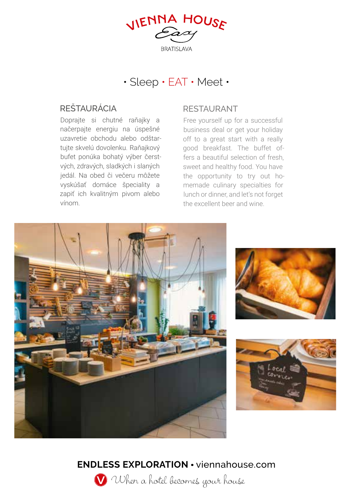VIENNA HOUSE **RRATISI AVA** 

# • Sleep • EAT • Meet •

## REŠTAURÁCIA RESTAURANT

Doprajte si chutné raňajky a načerpajte energiu na úspešné uzavretie obchodu alebo odštartujte skvelú dovolenku. Raňajkový bufet ponúka bohatý výber čerstvých, zdravých, sladkých i slaných jedál. Na obed či večeru môžete vyskúšať domáce špeciality a zapiť ich kvalitným pivom alebo vínom.

Free yourself up for a successful business deal or get your holiday off to a great start with a really good breakfast. The buffet offers a beautiful selection of fresh, sweet and healthy food. You have the opportunity to try out homemade culinary specialties for lunch or dinner, and let's not forget the excellent beer and wine.



# **ENDLESS EXPLORATION** • viennahouse.com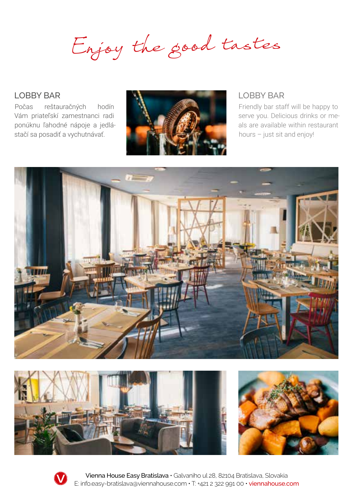Enjoy the good tastes

Počas reštauračných hodín Vám priateľskí zamestnanci radi ponúknu ľahodné nápoje a jedlástačí sa posadiť a vychutnávať.



Friendly bar staff will be happy to serve you. Delicious drinks or meals are available within restaurant hours – just sit and enjoy!







Vienna House Easy Bratislava • Galvaniho ul 28, 82104 Bratislava, Slovakia E: info.easy-bratislava@viennahouse.com • T: +421 2 322 991 00 • viennahouse.com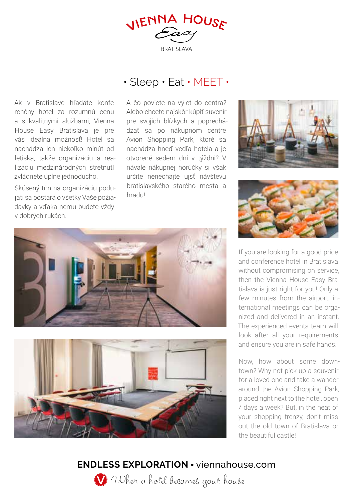VIENNA HOUSE **RRATISI AVA** 

# • Sleep • Eat • MEET •

Ak v Bratislave hľadáte konferenčný hotel za rozumnú cenu a s kvalitnými službami, Vienna House Easy Bratislava je pre vás ideálna možnosť! Hotel sa nachádza len niekoľko minút od letiska, takže organizáciu a realizáciu medzinárodných stretnutí zvládnete úplne jednoducho.

Skúsený tím na organizáciu podujatí sa postará o všetky Vaše požiadavky a vďaka nemu budete vždy v dobrých rukách.

A čo poviete na výlet do centra? Alebo chcete najskôr kúpiť suvenír pre svojich blízkych a poprechádzať sa po nákupnom centre Avion Shopping Park, ktoré sa nachádza hneď vedľa hotela a je otvorené sedem dní v týždni? V návale nákupnej horúčky si však určite nenechajte ujsť návštevu bratislavského starého mesta a hradu!





If you are looking for a good price and conference hotel in Bratislava without compromising on service, then the Vienna House Easy Bratislava is just right for you! Only a few minutes from the airport, international meetings can be organized and delivered in an instant. The experienced events team will look after all your requirements and ensure you are in safe hands.

Now, how about some downtown? Why not pick up a souvenir for a loved one and take a wander around the Avion Shopping Park, placed right next to the hotel, open 7 days a week? But, in the heat of your shopping frenzy, don't miss out the old town of Bratislava or the beautiful castle!





**ENDLESS EXPLORATION** • viennahouse.com